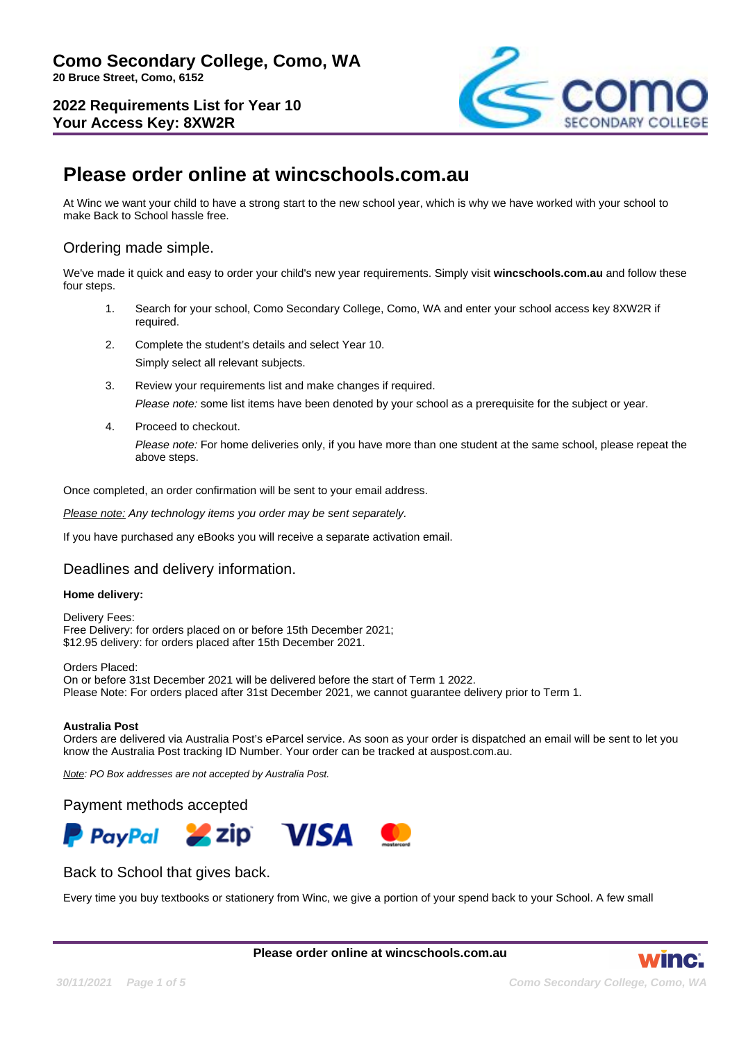

# **Please order online at wincschools.com.au**

At Winc we want your child to have a strong start to the new school year, which is why we have worked with your school to make Back to School hassle free.

# Ordering made simple.

We've made it quick and easy to order your child's new year requirements. Simply visit **wincschools.com.au** and follow these four steps.

- 1. Search for your school, Como Secondary College, Como, WA and enter your school access key 8XW2R if required.
- 2. Complete the student's details and select Year 10. Simply select all relevant subjects.
- 3. Review your requirements list and make changes if required. Please note: some list items have been denoted by your school as a prerequisite for the subject or year.
- 4. Proceed to checkout.

Please note: For home deliveries only, if you have more than one student at the same school, please repeat the above steps.

Once completed, an order confirmation will be sent to your email address.

Please note: Any technology items you order may be sent separately.

If you have purchased any eBooks you will receive a separate activation email.

# Deadlines and delivery information.

#### **Home delivery:**

Delivery Fees: Free Delivery: for orders placed on or before 15th December 2021; \$12.95 delivery: for orders placed after 15th December 2021.

Orders Placed: On or before 31st December 2021 will be delivered before the start of Term 1 2022. Please Note: For orders placed after 31st December 2021, we cannot guarantee delivery prior to Term 1.

#### **Australia Post**

Orders are delivered via Australia Post's eParcel service. As soon as your order is dispatched an email will be sent to let you know the Australia Post tracking ID Number. Your order can be tracked at auspost.com.au.

Note: PO Box addresses are not accepted by Australia Post.

#### Payment methods accepted



# Back to School that gives back.

Every time you buy textbooks or stationery from Winc, we give a portion of your spend back to your School. A few small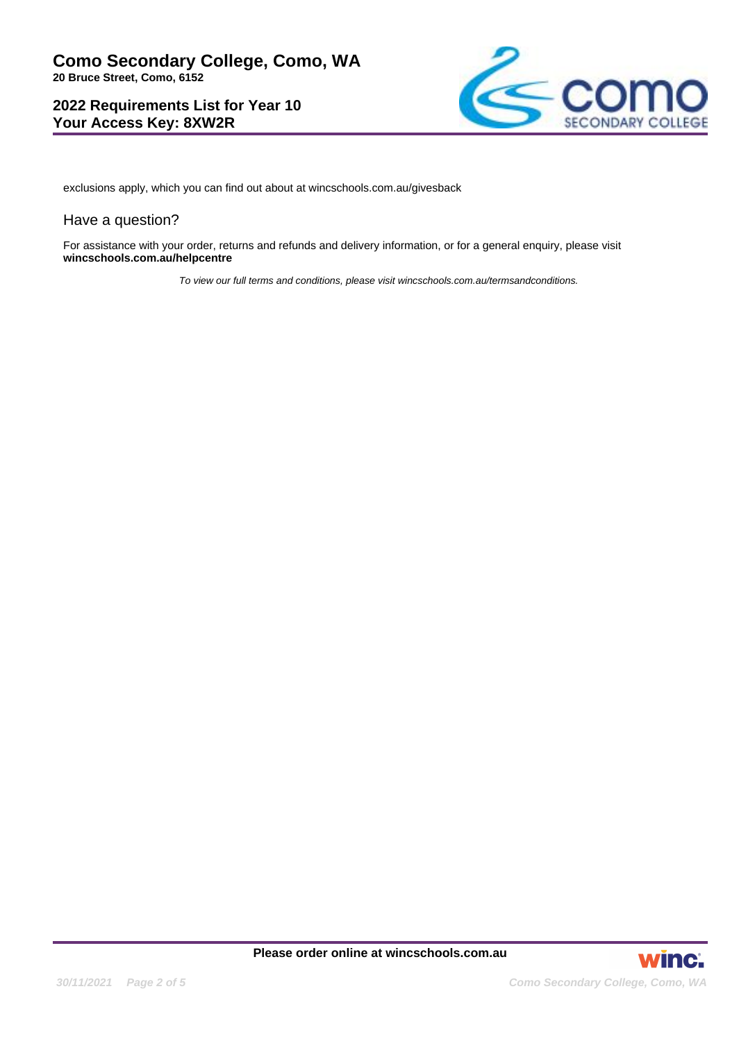

exclusions apply, which you can find out about at wincschools.com.au/givesback

## Have a question?

For assistance with your order, returns and refunds and delivery information, or for a general enquiry, please visit **wincschools.com.au/helpcentre**

To view our full terms and conditions, please visit wincschools.com.au/termsandconditions.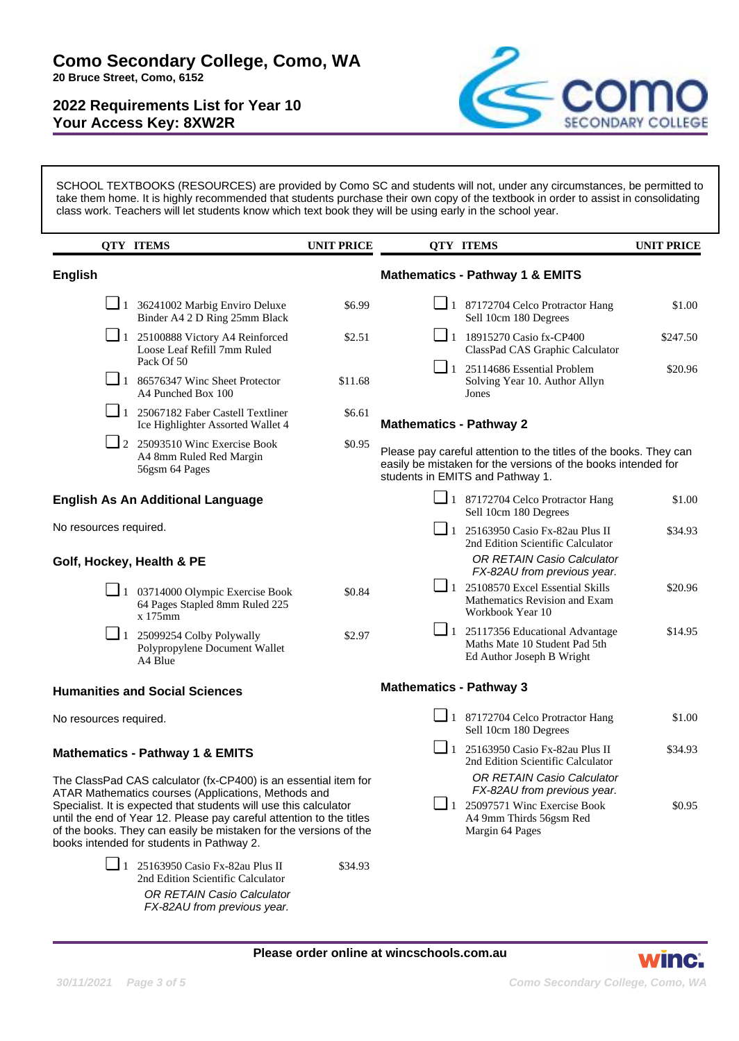

SCHOOL TEXTBOOKS (RESOURCES) are provided by Como SC and students will not, under any circumstances, be permitted to take them home. It is highly recommended that students purchase their own copy of the textbook in order to assist in consolidating class work. Teachers will let students know which text book they will be using early in the school year.

|                                            | <b>QTY ITEMS</b>                                                                                                                                                                                                                                                                                                                                                                      | <b>UNIT PRICE</b> |                                                                                                                                                                        | <b>QTY ITEMS</b>                                                                                                                                | <b>UNIT PRICE</b> |  |
|--------------------------------------------|---------------------------------------------------------------------------------------------------------------------------------------------------------------------------------------------------------------------------------------------------------------------------------------------------------------------------------------------------------------------------------------|-------------------|------------------------------------------------------------------------------------------------------------------------------------------------------------------------|-------------------------------------------------------------------------------------------------------------------------------------------------|-------------------|--|
| <b>English</b>                             |                                                                                                                                                                                                                                                                                                                                                                                       |                   |                                                                                                                                                                        | <b>Mathematics - Pathway 1 &amp; EMITS</b>                                                                                                      |                   |  |
|                                            | $\Box$ 1 36241002 Marbig Enviro Deluxe<br>Binder A4 2 D Ring 25mm Black                                                                                                                                                                                                                                                                                                               | \$6.99            |                                                                                                                                                                        | $\Box$ 1 87172704 Celco Protractor Hang<br>Sell 10cm 180 Degrees                                                                                | \$1.00            |  |
|                                            | $\Box$ 1 25100888 Victory A4 Reinforced<br>Loose Leaf Refill 7mm Ruled                                                                                                                                                                                                                                                                                                                | \$2.51            |                                                                                                                                                                        | $\Box$ 1 18915270 Casio fx-CP400<br>ClassPad CAS Graphic Calculator                                                                             | \$247.50          |  |
|                                            | Pack Of 50<br>$\boxed{\phantom{0}}$ 1 86576347 Winc Sheet Protector<br>A4 Punched Box 100                                                                                                                                                                                                                                                                                             | \$11.68           |                                                                                                                                                                        | $\Box$ 1 25114686 Essential Problem<br>Solving Year 10. Author Allyn<br>Jones                                                                   | \$20.96           |  |
|                                            | $\Box$ 1 25067182 Faber Castell Textliner<br>Ice Highlighter Assorted Wallet 4                                                                                                                                                                                                                                                                                                        | \$6.61            | <b>Mathematics - Pathway 2</b>                                                                                                                                         |                                                                                                                                                 |                   |  |
|                                            | $\Box$ 2 25093510 Winc Exercise Book<br>A4 8mm Ruled Red Margin<br>56gsm 64 Pages                                                                                                                                                                                                                                                                                                     | \$0.95            | Please pay careful attention to the titles of the books. They can<br>easily be mistaken for the versions of the books intended for<br>students in EMITS and Pathway 1. |                                                                                                                                                 |                   |  |
| <b>English As An Additional Language</b>   |                                                                                                                                                                                                                                                                                                                                                                                       |                   |                                                                                                                                                                        | $\Box$ 1 87172704 Celco Protractor Hang<br>Sell 10cm 180 Degrees                                                                                | \$1.00            |  |
| No resources required.                     |                                                                                                                                                                                                                                                                                                                                                                                       |                   |                                                                                                                                                                        | $\Box$ 1 25163950 Casio Fx-82au Plus II<br>2nd Edition Scientific Calculator                                                                    | \$34.93           |  |
| Golf, Hockey, Health & PE                  |                                                                                                                                                                                                                                                                                                                                                                                       |                   |                                                                                                                                                                        | <b>OR RETAIN Casio Calculator</b><br>FX-82AU from previous year.                                                                                |                   |  |
|                                            | $\Box$ 1 03714000 Olympic Exercise Book<br>64 Pages Stapled 8mm Ruled 225<br>x 175mm                                                                                                                                                                                                                                                                                                  | \$0.84            |                                                                                                                                                                        | $\Box$ 1 25108570 Excel Essential Skills<br>Mathematics Revision and Exam<br>Workbook Year 10                                                   | \$20.96           |  |
|                                            | $\Box$ 1 25099254 Colby Polywally<br>Polypropylene Document Wallet<br>A4 Blue                                                                                                                                                                                                                                                                                                         | \$2.97            |                                                                                                                                                                        | $\Box$ 1 25117356 Educational Advantage<br>Maths Mate 10 Student Pad 5th<br>Ed Author Joseph B Wright                                           | \$14.95           |  |
| <b>Humanities and Social Sciences</b>      |                                                                                                                                                                                                                                                                                                                                                                                       |                   | <b>Mathematics - Pathway 3</b>                                                                                                                                         |                                                                                                                                                 |                   |  |
| No resources required.                     |                                                                                                                                                                                                                                                                                                                                                                                       |                   |                                                                                                                                                                        | $\Box$ 1 87172704 Celco Protractor Hang<br>Sell 10cm 180 Degrees                                                                                | \$1.00            |  |
| <b>Mathematics - Pathway 1 &amp; EMITS</b> |                                                                                                                                                                                                                                                                                                                                                                                       |                   | $\Box$ 1                                                                                                                                                               | 25163950 Casio Fx-82au Plus II<br>2nd Edition Scientific Calculator                                                                             | \$34.93           |  |
|                                            | The ClassPad CAS calculator (fx-CP400) is an essential item for<br>ATAR Mathematics courses (Applications, Methods and<br>Specialist. It is expected that students will use this calculator<br>until the end of Year 12. Please pay careful attention to the titles<br>of the books. They can easily be mistaken for the versions of the<br>books intended for students in Pathway 2. |                   |                                                                                                                                                                        | OR RETAIN Casio Calculator<br>FX-82AU from previous year.<br>$\Box$ 1 25097571 Winc Exercise Book<br>A4 9mm Thirds 56gsm Red<br>Margin 64 Pages | \$0.95            |  |
|                                            | $\Box$ 1 25163950 Casio Fx-82au Plus II<br>2nd Edition Scientific Calculator<br>OR RETAIN Casio Calculator                                                                                                                                                                                                                                                                            | \$34.93           |                                                                                                                                                                        |                                                                                                                                                 |                   |  |

FX-82AU from previous year.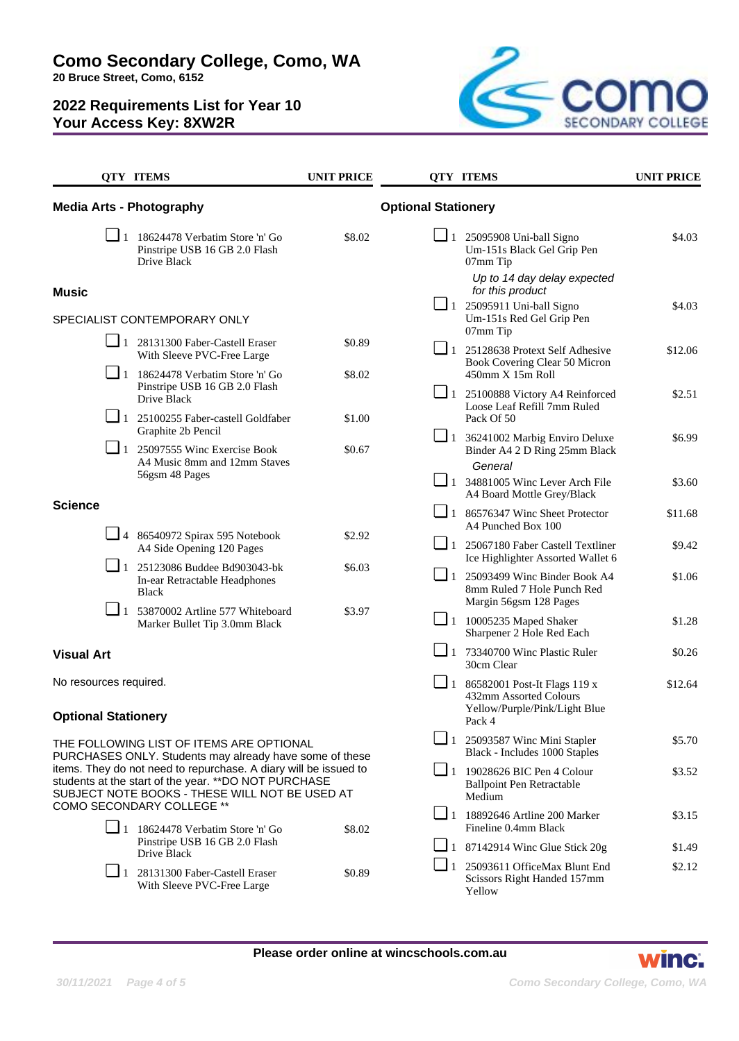

|                                                                                                                                                                                                                                        | <b>QTY ITEMS</b>                                                                                                                                                                  | <b>UNIT PRICE</b> |                            | <b>QTY ITEMS</b>                                                                                  | <b>UNIT PRICE</b> |
|----------------------------------------------------------------------------------------------------------------------------------------------------------------------------------------------------------------------------------------|-----------------------------------------------------------------------------------------------------------------------------------------------------------------------------------|-------------------|----------------------------|---------------------------------------------------------------------------------------------------|-------------------|
| <b>Media Arts - Photography</b>                                                                                                                                                                                                        |                                                                                                                                                                                   |                   | <b>Optional Stationery</b> |                                                                                                   |                   |
|                                                                                                                                                                                                                                        | $\Box$ 1 18624478 Verbatim Store 'n' Go<br>Pinstripe USB 16 GB 2.0 Flash<br>Drive Black                                                                                           | \$8.02            | $\Box$ 1                   | 25095908 Uni-ball Signo<br>Um-151s Black Gel Grip Pen<br>07mm Tip<br>Up to 14 day delay expected  | \$4.03            |
| <b>Music</b>                                                                                                                                                                                                                           |                                                                                                                                                                                   |                   |                            | for this product<br>$\Box$ 1 25095911 Uni-ball Signo<br>Um-151s Red Gel Grip Pen<br>07mm Tip      | \$4.03            |
| SPECIALIST CONTEMPORARY ONLY                                                                                                                                                                                                           |                                                                                                                                                                                   |                   |                            |                                                                                                   |                   |
|                                                                                                                                                                                                                                        | 1 28131300 Faber-Castell Eraser<br>With Sleeve PVC-Free Large                                                                                                                     | \$0.89            |                            | $\Box$ 1 25128638 Protext Self Adhesive<br>Book Covering Clear 50 Micron<br>450mm X 15m Roll      | \$12.06           |
|                                                                                                                                                                                                                                        | $\boxed{\phantom{0}}$ 1 18624478 Verbatim Store 'n' Go<br>Pinstripe USB 16 GB 2.0 Flash<br>Drive Black                                                                            | \$8.02            |                            |                                                                                                   |                   |
|                                                                                                                                                                                                                                        |                                                                                                                                                                                   |                   |                            | 1 25100888 Victory A4 Reinforced<br>Loose Leaf Refill 7mm Ruled                                   | \$2.51            |
|                                                                                                                                                                                                                                        | $\Box$ 1 25100255 Faber-castell Goldfaber<br>Graphite 2b Pencil                                                                                                                   | \$1.00            |                            | Pack Of 50                                                                                        | \$6.99            |
|                                                                                                                                                                                                                                        | $\Box$ 1 25097555 Winc Exercise Book<br>A4 Music 8mm and 12mm Staves                                                                                                              | \$0.67            |                            | $\Box$ 1 36241002 Marbig Enviro Deluxe<br>Binder A4 2 D Ring 25mm Black                           |                   |
|                                                                                                                                                                                                                                        | 56gsm 48 Pages                                                                                                                                                                    |                   |                            | <b>General</b><br>$\Box$ 1 34881005 Winc Lever Arch File                                          | \$3.60            |
| <b>Science</b>                                                                                                                                                                                                                         |                                                                                                                                                                                   |                   |                            | A4 Board Mottle Grey/Black                                                                        |                   |
|                                                                                                                                                                                                                                        |                                                                                                                                                                                   |                   |                            | $\Box$ 1 86576347 Winc Sheet Protector<br>A4 Punched Box 100                                      | \$11.68           |
|                                                                                                                                                                                                                                        | $\Box$ 4 86540972 Spirax 595 Notebook<br>A4 Side Opening 120 Pages                                                                                                                | \$2.92            |                            | 1 25067180 Faber Castell Textliner<br>Ice Highlighter Assorted Wallet 6                           | \$9.42            |
|                                                                                                                                                                                                                                        | $\boxed{\phantom{0}}$ 1 25123086 Buddee Bd903043-bk<br>In-ear Retractable Headphones<br><b>Black</b><br>$\Box$ 1 53870002 Artline 577 Whiteboard<br>Marker Bullet Tip 3.0mm Black | \$6.03<br>\$3.97  | $\Box$ 1                   | 25093499 Winc Binder Book A4<br>8mm Ruled 7 Hole Punch Red<br>Margin 56gsm 128 Pages              | \$1.06            |
|                                                                                                                                                                                                                                        |                                                                                                                                                                                   |                   |                            | $\Box$ 1 10005235 Maped Shaker<br>Sharpener 2 Hole Red Each                                       | \$1.28            |
| <b>Visual Art</b>                                                                                                                                                                                                                      |                                                                                                                                                                                   |                   | $\Box$ 1                   | 73340700 Winc Plastic Ruler<br>30cm Clear                                                         | \$0.26            |
| No resources required.<br><b>Optional Stationery</b>                                                                                                                                                                                   |                                                                                                                                                                                   |                   | $\Box$ 1                   | 86582001 Post-It Flags 119 x<br>432mm Assorted Colours<br>Yellow/Purple/Pink/Light Blue<br>Pack 4 | \$12.64           |
| THE FOLLOWING LIST OF ITEMS ARE OPTIONAL                                                                                                                                                                                               |                                                                                                                                                                                   |                   |                            | $\boxed{\phantom{0}}$ 1 25093587 Winc Mini Stapler<br>Black - Includes 1000 Staples               | \$5.70            |
| PURCHASES ONLY. Students may already have some of these<br>items. They do not need to repurchase. A diary will be issued to<br>students at the start of the year. ** DO NOT PURCHASE<br>SUBJECT NOTE BOOKS - THESE WILL NOT BE USED AT |                                                                                                                                                                                   |                   |                            | $\Box$ 1 19028626 BIC Pen 4 Colour<br><b>Ballpoint Pen Retractable</b><br>Medium                  | \$3.52            |
|                                                                                                                                                                                                                                        | COMO SECONDARY COLLEGE **<br>$\Box$ 1 18624478 Verbatim Store 'n' Go                                                                                                              |                   |                            | $\boxed{\phantom{1}}$ 1 18892646 Artline 200 Marker<br>Fineline 0.4mm Black                       | \$3.15            |
|                                                                                                                                                                                                                                        | Pinstripe USB 16 GB 2.0 Flash                                                                                                                                                     | \$8.02            |                            | $\Box$ 1 87142914 Winc Glue Stick 20g                                                             | \$1.49            |
|                                                                                                                                                                                                                                        | Drive Black<br>$\Box$ 1 28131300 Faber-Castell Eraser<br>With Sleeve PVC-Free Large                                                                                               | \$0.89            | $\Box$ 1                   | 25093611 OfficeMax Blunt End<br>Scissors Right Handed 157mm<br>Yellow                             | \$2.12            |